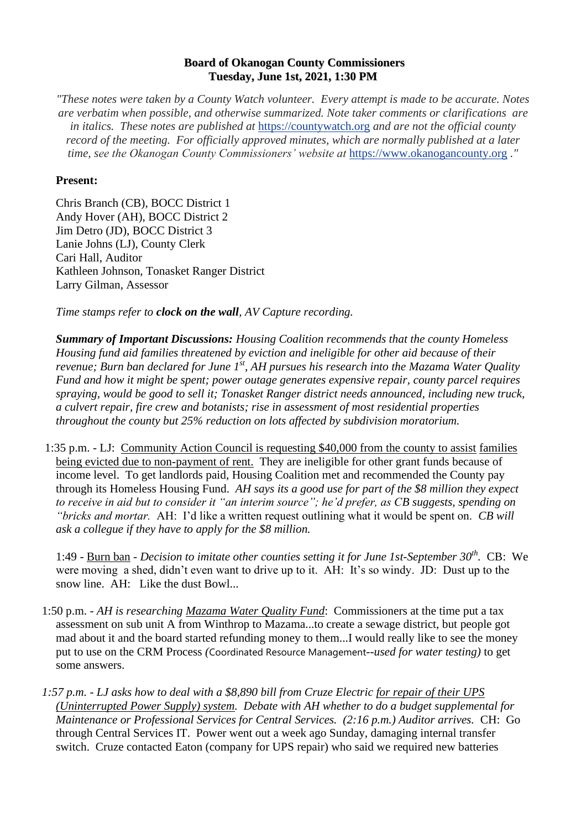## **Board of Okanogan County Commissioners Tuesday, June 1st, 2021, 1:30 PM**

*"These notes were taken by a County Watch volunteer. Every attempt is made to be accurate. Notes are verbatim when possible, and otherwise summarized. Note taker comments or clarifications are in italics. These notes are published at* [https://countywatch.org](https://countywatch.org/) *and are not the official county record of the meeting. For officially approved minutes, which are normally published at a later time, see the Okanogan County Commissioners' website at* [https://www.okanogancounty.org](https://www.okanogancounty.org/) *."*

## **Present:**

Chris Branch (CB), BOCC District 1 Andy Hover (AH), BOCC District 2 Jim Detro (JD), BOCC District 3 Lanie Johns (LJ), County Clerk Cari Hall, Auditor Kathleen Johnson, Tonasket Ranger District Larry Gilman, Assessor

*Time stamps refer to clock on the wall, AV Capture recording.* 

*Summary of Important Discussions: Housing Coalition recommends that the county Homeless Housing fund aid families threatened by eviction and ineligible for other aid because of their revenue; Burn ban declared for June 1st, AH pursues his research into the Mazama Water Quality Fund and how it might be spent; power outage generates expensive repair, county parcel requires spraying, would be good to sell it; Tonasket Ranger district needs announced, including new truck, a culvert repair, fire crew and botanists; rise in assessment of most residential properties throughout the county but 25% reduction on lots affected by subdivision moratorium.* 

1:35 p.m. - LJ: Community Action Council is requesting \$40,000 from the county to assist families being evicted due to non-payment of rent. They are ineligible for other grant funds because of income level. To get landlords paid, Housing Coalition met and recommended the County pay through its Homeless Housing Fund. *AH says its a good use for part of the \$8 million they expect to receive in aid but to consider it "an interim source"; he'd prefer, as CB suggests, spending on "bricks and mortar.* AH: I'd like a written request outlining what it would be spent on. *CB will ask a collegue if they have to apply for the \$8 million.*

1:49 - Burn ban - *Decision to imitate other counties setting it for June 1st-September 30th .* CB: We were moving a shed, didn't even want to drive up to it. AH: It's so windy. JD: Dust up to the snow line. AH: Like the dust Bowl...

- 1:50 p.m. *AH is researching Mazama Water Quality Fund*: Commissioners at the time put a tax assessment on sub unit A from Winthrop to Mazama...to create a sewage district, but people got mad about it and the board started refunding money to them...I would really like to see the money put to use on the CRM Process *(*Coordinated Resource Management*--used for water testing)* to get some answers.
- *1:57 p.m. - LJ asks how to deal with a \$8,890 bill from Cruze Electric for repair of their UPS (Uninterrupted Power Supply) system. Debate with AH whether to do a budget supplemental for Maintenance or Professional Services for Central Services. (2:16 p.m.) Auditor arrives.* CH: Go through Central Services IT. Power went out a week ago Sunday, damaging internal transfer switch. Cruze contacted Eaton (company for UPS repair) who said we required new batteries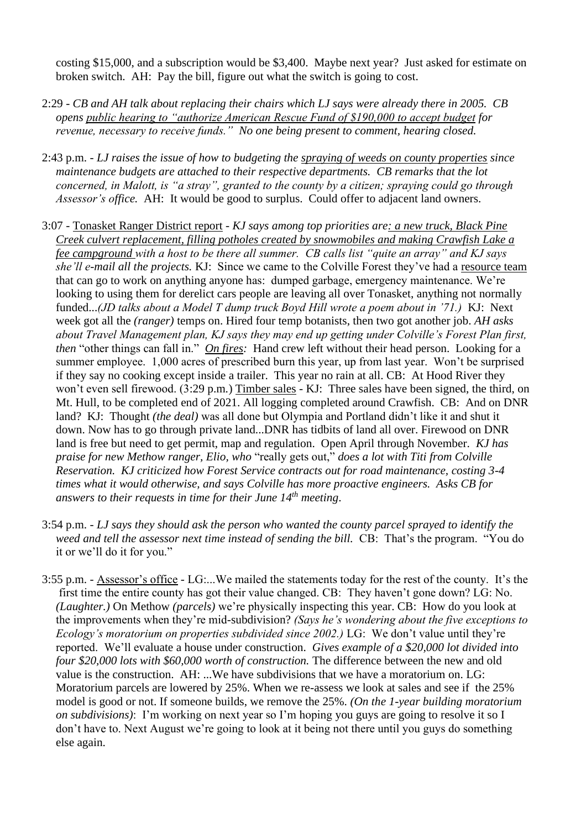costing \$15,000, and a subscription would be \$3,400. Maybe next year? Just asked for estimate on broken switch. AH: Pay the bill, figure out what the switch is going to cost.

- 2:29 *CB and AH talk about replacing their chairs which LJ says were already there in 2005. CB opens public hearing to "authorize American Rescue Fund of \$190,000 to accept budget for revenue, necessary to receive funds." No one being present to comment, hearing closed.*
- 2:43 p.m. *LJ raises the issue of how to budgeting the spraying of weeds on county properties since maintenance budgets are attached to their respective departments. CB remarks that the lot concerned, in Malott, is "a stray", granted to the county by a citizen; spraying could go through Assessor's office.* AH: It would be good to surplus. Could offer to adjacent land owners.
- 3:07 Tonasket Ranger District report *KJ says among top priorities are: a new truck, Black Pine Creek culvert replacement, filling potholes created by snowmobiles and making Crawfish Lake a fee campground with a host to be there all summer. CB calls list "quite an array" and KJ says she'll e-mail all the projects.* KJ:Since we came to the Colville Forest they've had a resource team that can go to work on anything anyone has: dumped garbage, emergency maintenance. We're looking to using them for derelict cars people are leaving all over Tonasket, anything not normally funded...*(JD talks about a Model T dump truck Boyd Hill wrote a poem about in '71.)* KJ: Next week got all the *(ranger)* temps on. Hired four temp botanists, then two got another job. *AH asks about Travel Management plan, KJ says they may end up getting under Colville's Forest Plan first, then* "other things can fall in." *On fires:* Hand crew left without their head person. Looking for a summer employee. 1,000 acres of prescribed burn this year, up from last year. Won't be surprised if they say no cooking except inside a trailer. This year no rain at all. CB: At Hood River they won't even sell firewood. (3:29 p.m.) Timber sales - KJ: Three sales have been signed, the third, on Mt. Hull, to be completed end of 2021. All logging completed around Crawfish. CB: And on DNR land? KJ: Thought *(the deal)* was all done but Olympia and Portland didn't like it and shut it down. Now has to go through private land...DNR has tidbits of land all over. Firewood on DNR land is free but need to get permit, map and regulation. Open April through November. *KJ has praise for new Methow ranger, Elio, who* "really gets out," *does a lot with Titi from Colville Reservation. KJ criticized how Forest Service contracts out for road maintenance, costing 3-4 times what it would otherwise, and says Colville has more proactive engineers. Asks CB for answers to their requests in time for their June 14th meeting*.
- 3:54 p.m. *LJ says they should ask the person who wanted the county parcel sprayed to identify the weed and tell the assessor next time instead of sending the bill.* CB: That's the program. "You do it or we'll do it for you."
- 3:55 p.m. Assessor's office LG:...We mailed the statements today for the rest of the county. It's the first time the entire county has got their value changed. CB: They haven't gone down? LG: No. *(Laughter.)* On Methow *(parcels)* we're physically inspecting this year. CB: How do you look at the improvements when they're mid-subdivision? *(Says he's wondering about the five exceptions to Ecology's moratorium on properties subdivided since 2002.)* LG: We don't value until they're reported. We'll evaluate a house under construction. *Gives example of a \$20,000 lot divided into four \$20,000 lots with \$60,000 worth of construction.* The difference between the new and old value is the construction. AH: ...We have subdivisions that we have a moratorium on. LG: Moratorium parcels are lowered by 25%. When we re-assess we look at sales and see if the 25% model is good or not. If someone builds, we remove the 25%. *(On the 1-year building moratorium on subdivisions)*: I'm working on next year so I'm hoping you guys are going to resolve it so I don't have to. Next August we're going to look at it being not there until you guys do something else again.